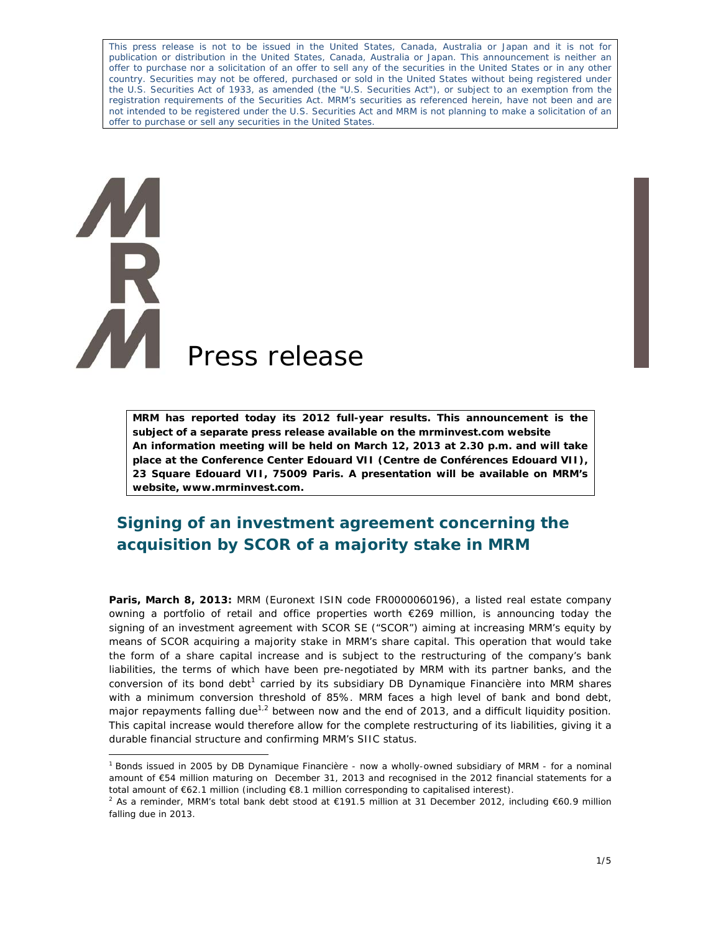This press release is not to be issued in the United States, Canada, Australia or Japan and it is not for publication or distribution in the United States, Canada, Australia or Japan. This announcement is neither an offer to purchase nor a solicitation of an offer to sell any of the securities in the United States or in any other country. Securities may not be offered, purchased or sold in the United States without being registered under the U.S. Securities Act of 1933, as amended (the "U.S. Securities Act"), or subject to an exemption from the registration requirements of the Securities Act. MRM's securities as referenced herein, have not been and are not intended to be registered under the U.S. Securities Act and MRM is not planning to make a solicitation of an offer to purchase or sell any securities in the United States.

# 1 ı ı Press release

l

**MRM has reported today its 2012 full-year results. This announcement is the subject of a separate press release available on the mrminvest.com website An information meeting will be held on March 12, 2013 at 2.30 p.m. and will take place at the Conference Center Edouard VII (***Centre de Conférences Edouard VII***), 23 Square Edouard VII, 75009 Paris. A presentation will be available on MRM's website, www.mrminvest.com.**

# **Signing of an investment agreement concerning the acquisition by SCOR of a majority stake in MRM**

Paris, March 8, 2013: MRM (Euronext ISIN code FR0000060196), a listed real estate company owning a portfolio of retail and office properties worth €269 million, is announcing today the signing of an investment agreement with SCOR SE ("SCOR") aiming at increasing MRM's equity by means of SCOR acquiring a majority stake in MRM's share capital. This operation that would take the form of a share capital increase and is subject to the restructuring of the company's bank liabilities, the terms of which have been pre-negotiated by MRM with its partner banks, and the conversion of its bond debt<sup>1</sup> carried by its subsidiary DB Dynamique Financière into MRM shares with a minimum conversion threshold of 85%. MRM faces a high level of bank and bond debt, major repayments falling due<sup>1,2</sup> between now and the end of 2013, and a difficult liquidity position. This capital increase would therefore allow for the complete restructuring of its liabilities, giving it a durable financial structure and confirming MRM's SIIC status.

<sup>1</sup> Bonds issued in 2005 by DB Dynamique Financière - now a wholly-owned subsidiary of MRM - for a nominal amount of €54 million maturing on December 31, 2013 and recognised in the 2012 financial statements for a total amount of €62.1 million (including €8.1 million corresponding to capitalised interest).

<sup>&</sup>lt;sup>2</sup> As a reminder, MRM's total bank debt stood at €191.5 million at 31 December 2012, including €60.9 million falling due in 2013.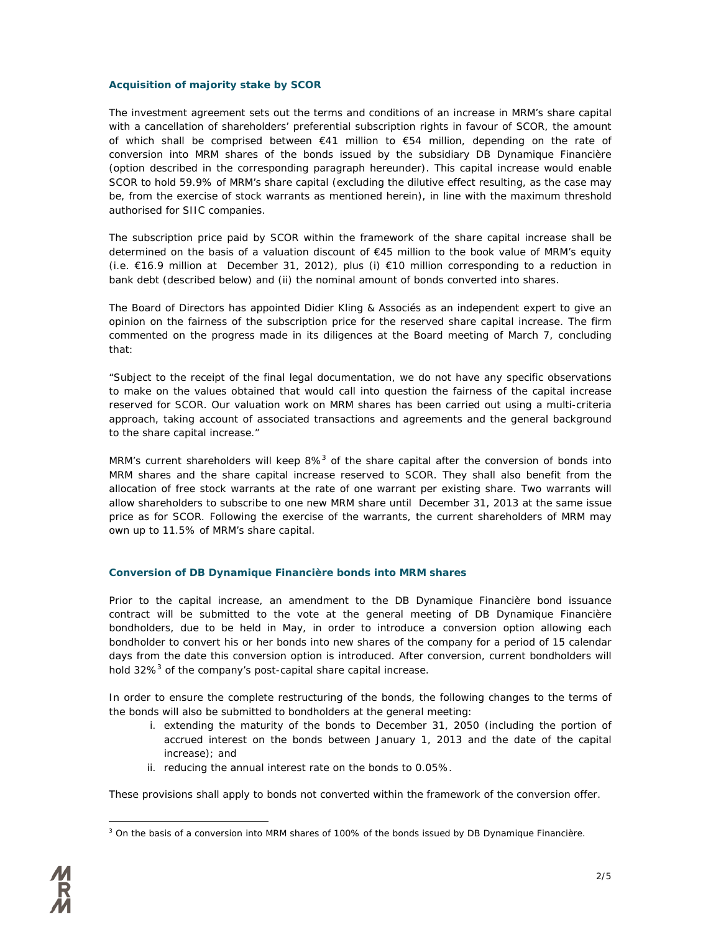## **Acquisition of majority stake by SCOR**

The investment agreement sets out the terms and conditions of an increase in MRM's share capital with a cancellation of shareholders' preferential subscription rights in favour of SCOR, the amount of which shall be comprised between €41 million to €54 million, depending on the rate of conversion into MRM shares of the bonds issued by the subsidiary DB Dynamique Financière (option described in the corresponding paragraph hereunder). This capital increase would enable SCOR to hold 59.9% of MRM's share capital (excluding the dilutive effect resulting, as the case may be, from the exercise of stock warrants as mentioned herein), in line with the maximum threshold authorised for SIIC companies.

The subscription price paid by SCOR within the framework of the share capital increase shall be determined on the basis of a valuation discount of €45 million to the book value of MRM's equity (i.e. €16.9 million at December 31, 2012), plus (i) €10 million corresponding to a reduction in bank debt (described below) and (ii) the nominal amount of bonds converted into shares.

The Board of Directors has appointed Didier Kling & Associés as an independent expert to give an opinion on the fairness of the subscription price for the reserved share capital increase. The firm commented on the progress made in its diligences at the Board meeting of March 7, concluding that:

"*Subject to the receipt of the final legal documentation,* w*e do not have any specific observations to make on the values obtained that would call into question the fairness of the capital increase reserved for SCOR. Our valuation work on MRM shares has been carried out using a multi-criteria approach, taking account of associated transactions and agreements and the general background to the share capital increase*."

MRM's current shareholders will keep  $8\%$ <sup>3</sup> of the share capital after the conversion of bonds into MRM shares and the share capital increase reserved to SCOR. They shall also benefit from the allocation of free stock warrants at the rate of one warrant per existing share. Two warrants will allow shareholders to subscribe to one new MRM share until December 31, 2013 at the same issue price as for SCOR. Following the exercise of the warrants, the current shareholders of MRM may own up to 11.5% of MRM's share capital.

## **Conversion of DB Dynamique Financière bonds into MRM shares**

Prior to the capital increase, an amendment to the DB Dynamique Financière bond issuance contract will be submitted to the vote at the general meeting of DB Dynamique Financière bondholders, due to be held in May, in order to introduce a conversion option allowing each bondholder to convert his or her bonds into new shares of the company for a period of 15 calendar days from the date this conversion option is introduced. After conversion, current bondholders will hold 32%<sup>3</sup> of the company's post-capital share capital increase.

In order to ensure the complete restructuring of the bonds, the following changes to the terms of the bonds will also be submitted to bondholders at the general meeting:

- i. extending the maturity of the bonds to December 31, 2050 (including the portion of accrued interest on the bonds between January 1, 2013 and the date of the capital increase); and
- ii. reducing the annual interest rate on the bonds to 0.05%.

These provisions shall apply to bonds not converted within the framework of the conversion offer.

l

<sup>&</sup>lt;sup>3</sup> On the basis of a conversion into MRM shares of 100% of the bonds issued by DB Dynamique Financière.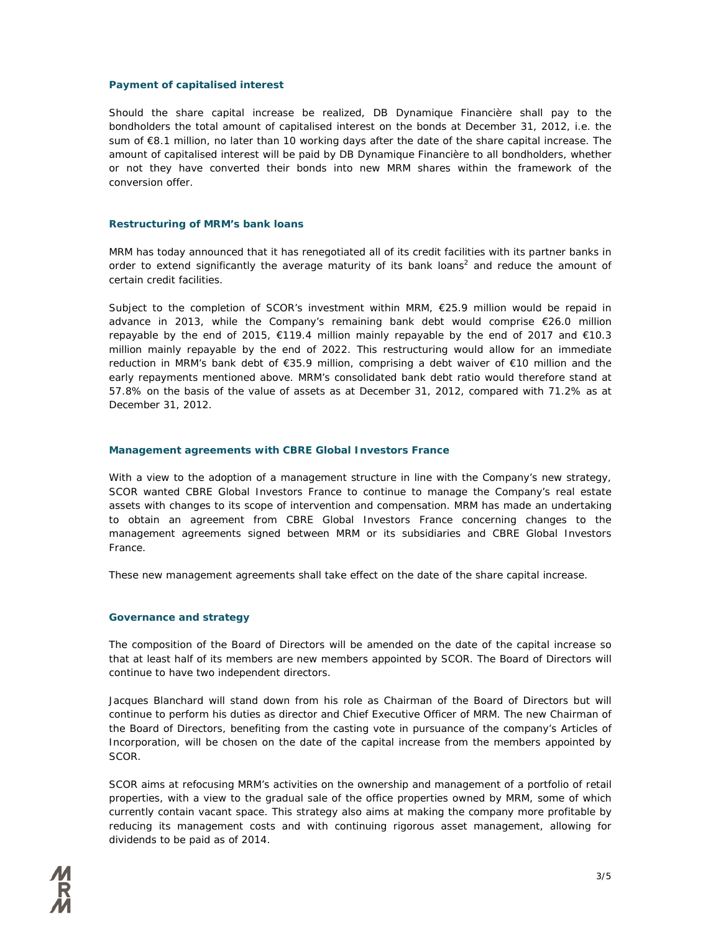#### **Payment of capitalised interest**

Should the share capital increase be realized, DB Dynamique Financière shall pay to the bondholders the total amount of capitalised interest on the bonds at December 31, 2012, i.e. the sum of €8.1 million, no later than 10 working days after the date of the share capital increase. The amount of capitalised interest will be paid by DB Dynamique Financière to all bondholders, whether or not they have converted their bonds into new MRM shares within the framework of the conversion offer.

## **Restructuring of MRM's bank loans**

MRM has today announced that it has renegotiated all of its credit facilities with its partner banks in order to extend significantly the average maturity of its bank loans<sup>2</sup> and reduce the amount of certain credit facilities.

Subject to the completion of SCOR's investment within MRM,  $\epsilon$ 25.9 million would be repaid in advance in 2013, while the Company's remaining bank debt would comprise €26.0 million repayable by the end of 2015,  $\epsilon$ 119.4 million mainly repayable by the end of 2017 and  $\epsilon$ 10.3 million mainly repayable by the end of 2022. This restructuring would allow for an immediate reduction in MRM's bank debt of €35.9 million, comprising a debt waiver of €10 million and the early repayments mentioned above. MRM's consolidated bank debt ratio would therefore stand at 57.8% on the basis of the value of assets as at December 31, 2012, compared with 71.2% as at December 31, 2012.

#### **Management agreements with CBRE Global Investors France**

With a view to the adoption of a management structure in line with the Company's new strategy, SCOR wanted CBRE Global Investors France to continue to manage the Company's real estate assets with changes to its scope of intervention and compensation. MRM has made an undertaking to obtain an agreement from CBRE Global Investors France concerning changes to the management agreements signed between MRM or its subsidiaries and CBRE Global Investors France.

These new management agreements shall take effect on the date of the share capital increase.

## **Governance and strategy**

The composition of the Board of Directors will be amended on the date of the capital increase so that at least half of its members are new members appointed by SCOR. The Board of Directors will continue to have two independent directors.

Jacques Blanchard will stand down from his role as Chairman of the Board of Directors but will continue to perform his duties as director and Chief Executive Officer of MRM. The new Chairman of the Board of Directors, benefiting from the casting vote in pursuance of the company's Articles of Incorporation, will be chosen on the date of the capital increase from the members appointed by SCOR.

SCOR aims at refocusing MRM's activities on the ownership and management of a portfolio of retail properties, with a view to the gradual sale of the office properties owned by MRM, some of which currently contain vacant space. This strategy also aims at making the company more profitable by reducing its management costs and with continuing rigorous asset management, allowing for dividends to be paid as of 2014.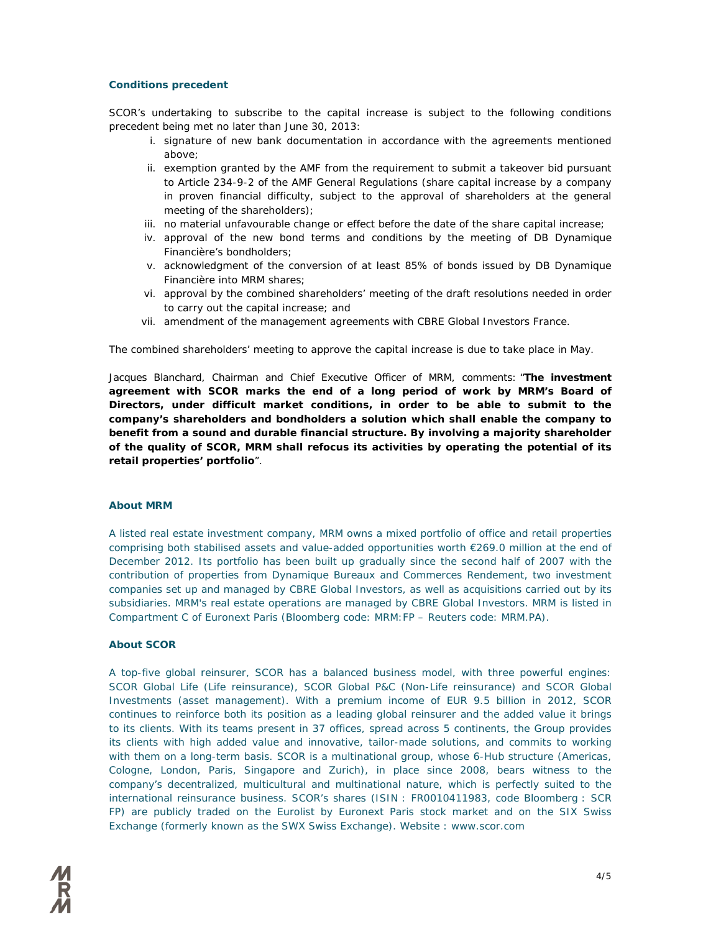## **Conditions precedent**

SCOR's undertaking to subscribe to the capital increase is subject to the following conditions precedent being met no later than June 30, 2013:

- i. signature of new bank documentation in accordance with the agreements mentioned above;
- ii. exemption granted by the AMF from the requirement to submit a takeover bid pursuant to Article 234-9-2 of the AMF General Regulations (share capital increase by a company in proven financial difficulty, subject to the approval of shareholders at the general meeting of the shareholders);
- iii. no material unfavourable change or effect before the date of the share capital increase;
- iv. approval of the new bond terms and conditions by the meeting of DB Dynamique Financière's bondholders;
- v. acknowledgment of the conversion of at least 85% of bonds issued by DB Dynamique Financière into MRM shares;
- vi. approval by the combined shareholders' meeting of the draft resolutions needed in order to carry out the capital increase; and
- vii. amendment of the management agreements with CBRE Global Investors France.

The combined shareholders' meeting to approve the capital increase is due to take place in May.

Jacques Blanchard, Chairman and Chief Executive Officer of MRM, comments: "*The investment*  agreement with SCOR marks the end of a long period of work by MRM's Board of *Directors, under difficult market conditions, in order to be able to submit to the company's shareholders and bondholders a solution which shall enable the company to benefit from a sound and durable financial structure. By involving a majority shareholder of the quality of SCOR, MRM shall refocus its activities by operating the potential of its retail properties' portfolio*".

#### **About MRM**

A listed real estate investment company, MRM owns a mixed portfolio of office and retail properties comprising both stabilised assets and value-added opportunities worth €269.0 million at the end of December 2012. Its portfolio has been built up gradually since the second half of 2007 with the contribution of properties from Dynamique Bureaux and Commerces Rendement, two investment companies set up and managed by CBRE Global Investors, as well as acquisitions carried out by its subsidiaries. MRM's real estate operations are managed by CBRE Global Investors. MRM is listed in Compartment C of Euronext Paris (Bloomberg code: MRM:FP – Reuters code: MRM.PA).

# **About SCOR**

A top-five global reinsurer, SCOR has a balanced business model, with three powerful engines: SCOR Global Life (Life reinsurance), SCOR Global P&C (Non-Life reinsurance) and SCOR Global Investments (asset management). With a premium income of EUR 9.5 billion in 2012, SCOR continues to reinforce both its position as a leading global reinsurer and the added value it brings to its clients. With its teams present in 37 offices, spread across 5 continents, the Group provides its clients with high added value and innovative, tailor-made solutions, and commits to working with them on a long-term basis. SCOR is a multinational group, whose 6-Hub structure (Americas, Cologne, London, Paris, Singapore and Zurich), in place since 2008, bears witness to the company's decentralized, multicultural and multinational nature, which is perfectly suited to the international reinsurance business. SCOR's shares (ISIN : FR0010411983, code Bloomberg : SCR FP) are publicly traded on the Eurolist by Euronext Paris stock market and on the SIX Swiss Exchange (formerly known as the SWX Swiss Exchange). Website : www.scor.com